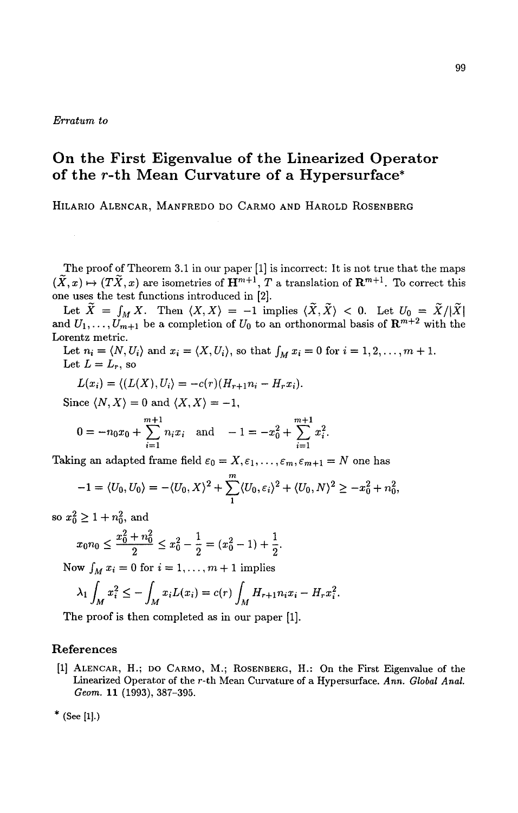## *Erratum to*

## **On the First Eigenvalue of the Linearized Operator of the r-th Mean Curvature of a Hypersurface\***

HILARIO ALENCAR, MANFREDO DO CARMO AND HAROLD ROSENBERG

The proof of Theorem 3.1 in our paper [1] is incorrect: It is not true that the maps  $(\tilde{X}, x) \mapsto (T\tilde{X}, x)$  are isometries of  $\mathbf{H}^{m+1}$ , T a translation of  $\mathbf{R}^{m+1}$ . To correct this one uses the test functions introduced in [2].

Let  $X = \int_M X$ . Then  $\langle X, X \rangle = -1$  implies  $\langle X, X \rangle < 0$ . Let  $U_0 = X/|X|$ and  $U_1, \ldots, U_{m+1}$  be a completion of  $U_0$  to an orthonormal basis of  $\mathbb{R}^{m+2}$  with the Lorentz metric.

Let  $n_i = \langle N, U_i \rangle$  and  $x_i = \langle X, U_i \rangle$ , so that  $\int_M x_i = 0$  for  $i = 1, 2, \ldots, m + 1$ . Let  $L = L_r$ , so

$$
L(x_i) = \langle (L(X), U_i \rangle = -c(r)(H_{r+1}n_i - H_rx_i).
$$

Since  $\langle N, X \rangle = 0$  and  $\langle X, X \rangle = -1$ ,

$$
0 = -n_0 x_0 + \sum_{i=1}^{m+1} n_i x_i \text{ and } -1 = -x_0^2 + \sum_{i=1}^{m+1} x_i^2.
$$

Taking an adapted frame field  $\varepsilon_0 = X, \varepsilon_1, \ldots, \varepsilon_m, \varepsilon_{m+1} = N$  one has

$$
-1 = \langle U_0, U_0 \rangle = -\langle U_0, X \rangle^2 + \sum_{1}^{m} \langle U_0, \varepsilon_i \rangle^2 + \langle U_0, N \rangle^2 \ge -x_0^2 + n_0^2,
$$

so  $x_0^2 \geq 1 + n_0^2,$  and

$$
x_0 n_0 \le \frac{x_0^2 + n_0^2}{2} \le x_0^2 - \frac{1}{2} = (x_0^2 - 1) + \frac{1}{2}.
$$

Now  $\int_M x_i = 0$  for  $i = 1, \ldots, m + 1$  implies

$$
\lambda_1 \int_M x_i^2 \le - \int_M x_i L(x_i) = c(r) \int_M H_{r+1} n_i x_i - H_r x_i^2.
$$

The proof is then completed as in our paper [1].

## References

- [I] ALENCAR, H.; DO CARMO, M.; ROSENBERG, H.: On the First Eigenvalue of the Linearized Operator of the r-th Mean Curvature of a Hypersurface. *Ann. Global Anal. Geom.* 11 (1993), 387-395.
- **\* (see [11.)**